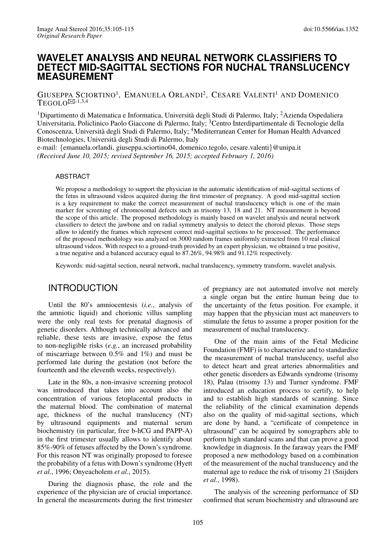## **WAVELET ANALYSIS AND NEURAL NETWORK CLASSIFIERS TO DETECT MID-SAGITTAL SECTIONS FOR NUCHAL TRANSLUCENCY MEASUREMENT**

GIUSEPPA SCIORTINO<sup>1</sup>, EMANUELA ORLANDI<sup>2</sup>, CESARE VALENTI<sup>1</sup> AND DOMENICO  $TEGOLO^{\boxtimes,1,3,4}$ 

<sup>1</sup> Dipartimento di Matematica e Informatica, Università degli Studi di Palermo, Italy; <sup>2</sup> Azienda Ospedaliera Universitaria, Policlinico Paolo Giaccone di Palermo, Italy; <sup>3</sup>Centro Interdipartimentale di Tecnologie della Conoscenza, Università degli Studi di Palermo, Italy; <sup>4</sup>Mediterranean Center for Human Health Advanced Biotechnologies, Universita degli Studi di Palermo, Italy `

e-mail: {emanuela.orlandi, giuseppa.sciortino04, domenico.tegolo, cesare.valenti}@unipa.it *(Received June 10, 2015; revised September 16, 2015; accepted February 1, 2016)*

#### ABSTRACT

We propose a methodology to support the physician in the automatic identification of mid-sagittal sections of the fetus in ultrasound videos acquired during the first trimester of pregnancy. A good mid-sagittal section is a key requirement to make the correct measurement of nuchal translucency which is one of the main marker for screening of chromosomal defects such as trisomy 13, 18 and 21. NT measurement is beyond the scope of this article. The proposed methodology is mainly based on wavelet analysis and neural network classifiers to detect the jawbone and on radial symmetry analysis to detect the choroid plexus. Those steps allow to identify the frames which represent correct mid-sagittal sections to be processed. The performance of the proposed methodology was analyzed on 3000 random frames uniformly extracted from 10 real clinical ultrasound videos. With respect to a ground-truth provided by an expert physician, we obtained a true positive, a true negative and a balanced accuracy equal to 87.26%, 94.98% and 91.12% respectively.

Keywords: mid-sagittal section, neural network, nuchal translucency, symmetry transform, wavelet analysis.

### INTRODUCTION

Until the 80's amniocentesis (*i.e.*, analysis of the amniotic liquid) and chorionic villus sampling were the only real tests for prenatal diagnosis of genetic disorders. Although technically advanced and reliable, these tests are invasive, expose the fetus to non-negligible risks (*e.g.*, an increased probability of miscarriage between 0.5% and 1%) and must be performed late during the gestation (not before the fourteenth and the eleventh weeks, respectively).

Late in the 80s, a non-invasive screening protocol was introduced that takes into account also the concentration of various fetoplacental products in the maternal blood. The combination of maternal age, thickness of the nuchal translucency (NT) by ultrasound equipments and maternal serum biochemistry (in particular, free b-hCG and PAPP-A) in the first trimester usually allows to identify about 85%-90% of fetuses affected by the Down's syndrome. For this reason NT was originally proposed to foresee the probability of a fetus with Down's syndrome [\(Hyett](#page-9-0) *[et al.](#page-9-0)*, [1996;](#page-9-0) [Onyeacholem](#page-10-1) *et al.*, [2015\)](#page-10-1).

During the diagnosis phase, the role and the experience of the physician are of crucial importance. In general the measurements during the first trimester of pregnancy are not automated involve not merely a single organ but the entire human being due to the uncertainty of the fetus position. For example, it may happen that the physician must act maneuvers to stimulate the fetus to assume a proper position for the measurement of nuchal translucency.

One of the main aims of the Fetal Medicine Foundation (FMF) is to characterize and to standardize the measurement of nuchal translucency, useful also to detect heart and great arteries abnormalities and other genetic disorders as Edwards syndrome (trisomy 18), Palau (trisomy 13) and Turner syndrome. FMF introduced an education process to certify, to help and to establish high standards of scanning. Since the reliability of the clinical examination depends also on the quality of mid-sagittal sections, which are done by hand, a "certificate of competence in ultrasound" can be acquired by sonographers able to perform high standard scans and that can prove a good knowledge in diagnosis. In the faraway years the FMF proposed a new methodology based on a combination of the measurement of the nuchal translucency and the maternal age to reduce the risk of trisomy 21 [\(Snijders](#page-10-2) *[et al.](#page-10-2)*, [1998\)](#page-10-2).

The analysis of the screening performance of SD confirmed that serum biochemistry and ultrasound are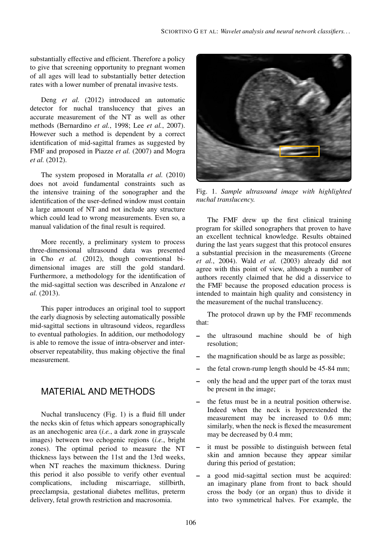substantially effective and efficient. Therefore a policy to give that screening opportunity to pregnant women of all ages will lead to substantially better detection rates with a lower number of prenatal invasive tests.

Deng *[et al.](#page-9-1)* [\(2012\)](#page-9-1) introduced an automatic detector for nuchal translucency that gives an accurate measurement of the NT as well as other methods [\(Bernardino](#page-9-2) *et al.*, [1998;](#page-9-2) Lee *[et al.](#page-10-3)*, [2007\)](#page-10-3). However such a method is dependent by a correct identification of mid-sagittal frames as suggested by FMF and proposed in [Piazze](#page-10-4) *et al.* [\(2007\)](#page-10-4) and [Mogra](#page-10-5) *[et al.](#page-10-5)* [\(2012\)](#page-10-5).

The system proposed in [Moratalla](#page-10-6) *et al.* [\(2010\)](#page-10-6) does not avoid fundamental constraints such as the intensive training of the sonographer and the identification of the user-defined window must contain a large amount of NT and not include any structure which could lead to wrong measurements. Even so, a manual validation of the final result is required.

More recently, a preliminary system to process three-dimensional ultrasound data was presented in Cho *[et al.](#page-9-3)* [\(2012\)](#page-9-3), though conventional bidimensional images are still the gold standard. Furthermore, a methodology for the identification of the mid-sagittal section was described in [Anzalone](#page-9-4) *et [al.](#page-9-4)* [\(2013\)](#page-9-4).

This paper introduces an original tool to support the early diagnosis by selecting automatically possible mid-sagittal sections in ultrasound videos, regardless to eventual pathologies. In addition, our methodology is able to remove the issue of intra-observer and interobserver repeatability, thus making objective the final measurement.

# MATERIAL AND METHODS

Nuchal translucency (Fig. [1\)](#page-1-0) is a fluid fill under the necks skin of fetus which appears sonographically as an anechogenic area (*i.e.*, a dark zone in grayscale images) between two echogenic regions (*i.e.*, bright zones). The optimal period to measure the NT thickness lays between the 11st and the 13rd weeks, when NT reaches the maximum thickness. During this period it also possible to verify other eventual complications, including miscarriage, stillbirth, preeclampsia, gestational diabetes mellitus, preterm delivery, fetal growth restriction and macrosomia.



Fig. 1. *Sample ultrasound image with highlighted nuchal translucency.*

<span id="page-1-0"></span>The FMF drew up the first clinical training program for skilled sonographers that proven to have an excellent technical knowledge. Results obtained during the last years suggest that this protocol ensures a substantial precision in the measurements [\(Greene](#page-9-5) *[et al.](#page-9-5)*, [2004\)](#page-9-5). Wald *[et al.](#page-10-7)* [\(2003\)](#page-10-7) already did not agree with this point of view, although a number of authors recently claimed that he did a disservice to the FMF because the proposed education process is intended to maintain high quality and consistency in the measurement of the nuchal translucency.

The protocol drawn up by the FMF recommends that:

- the ultrasound machine should be of high resolution;
- the magnification should be as large as possible;
- the fetal crown-rump length should be 45-84 mm;
- only the head and the upper part of the torax must be present in the image;
- the fetus must be in a neutral position otherwise. Indeed when the neck is hyperextended the measurement may be increased to 0.6 mm; similarly, when the neck is flexed the measurement may be decreased by 0.4 mm;
- it must be possible to distinguish between fetal skin and amnion because they appear similar during this period of gestation;
- a good mid-sagittal section must be acquired: an imaginary plane from front to back should cross the body (or an organ) thus to divide it into two symmetrical halves. For example, the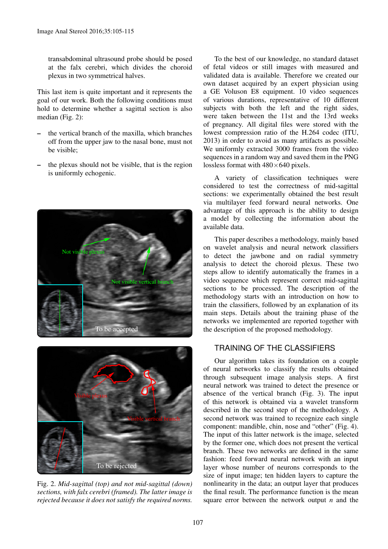transabdominal ultrasound probe should be posed at the falx cerebri, which divides the choroid plexus in two symmetrical halves.

This last item is quite important and it represents the goal of our work. Both the following conditions must hold to determine whether a sagittal section is also median (Fig. [2\)](#page-2-0):

- the vertical branch of the maxilla, which branches off from the upper jaw to the nasal bone, must not be visible;
- the plexus should not be visible, that is the region is uniformly echogenic.



<span id="page-2-0"></span>

Fig. 2. *Mid-sagittal (top) and not mid-sagittal (down) sections, with falx cerebri (framed). The latter image is rejected because it does not satisfy the required norms.*

To the best of our knowledge, no standard dataset of fetal videos or still images with measured and validated data is available. Therefore we created our own dataset acquired by an expert physician using a GE Voluson E8 equipment. 10 video sequences of various durations, representative of 10 different subjects with both the left and the right sides, were taken between the 11st and the 13rd weeks of pregnancy. All digital files were stored with the lowest compression ratio of the H.264 codec [\(ITU,](#page-10-8) [2013\)](#page-10-8) in order to avoid as many artifacts as possible. We uniformly extracted 3000 frames from the video sequences in a random way and saved them in the PNG lossless format with  $480\times640$  pixels.

A variety of classification techniques were considered to test the correctness of mid-sagittal sections: we experimentally obtained the best result via multilayer feed forward neural networks. One advantage of this approach is the ability to design a model by collecting the information about the available data.

This paper describes a methodology, mainly based on wavelet analysis and neural network classifiers to detect the jawbone and on radial symmetry analysis to detect the choroid plexus. These two steps allow to identify automatically the frames in a video sequence which represent correct mid-sagittal sections to be processed. The description of the methodology starts with an introduction on how to train the classifiers, followed by an explanation of its main steps. Details about the training phase of the networks we implemented are reported together with the description of the proposed methodology.

## TRAINING OF THE CLASSIFIERS

Our algorithm takes its foundation on a couple of neural networks to classify the results obtained through subsequent image analysis steps. A first neural network was trained to detect the presence or absence of the vertical branch (Fig. [3\)](#page-3-0). The input of this network is obtained via a wavelet transform described in the second step of the methodology. A second network was trained to recognize each single component: mandible, chin, nose and "other" (Fig. [4\)](#page-3-1). The input of this latter network is the image, selected by the former one, which does not present the vertical branch. These two networks are defined in the same fashion: feed forward neural network with an input layer whose number of neurons corresponds to the size of input image; ten hidden layers to capture the nonlinearity in the data; an output layer that produces the final result. The performance function is the mean square error between the network output *n* and the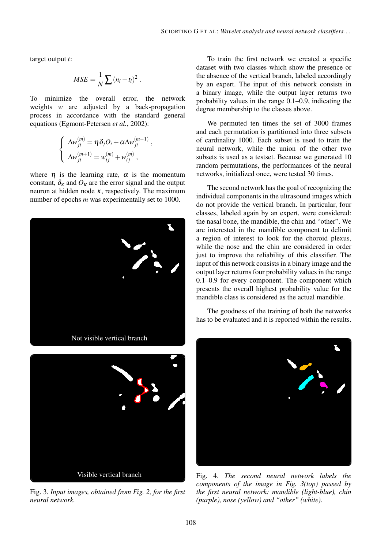target output *t*:

$$
MSE = \frac{1}{N} \sum (n_i - t_i)^2.
$$

To minimize the overall error, the network weights *w* are adjusted by a back-propagation process in accordance with the standard general equations [\(Egmont-Petersen](#page-9-6) *et al.*, [2002\)](#page-9-6):

$$
\begin{cases}\n\Delta w_{ji}^{(m)} = \eta \delta_j O_i + \alpha \Delta w_{ji}^{(m-1)}, \\
\Delta w_{ji}^{(m+1)} = w_{ij}^{(m)} + w_{ij}^{(m)},\n\end{cases}
$$

where  $\eta$  is the learning rate,  $\alpha$  is the momentum constant,  $\delta_{\kappa}$  and  $O_{\kappa}$  are the error signal and the output neuron at hidden node  $\kappa$ , respectively. The maximum number of epochs *m* was experimentally set to 1000.



<span id="page-3-0"></span>

Fig. 3. *Input images, obtained from Fig. [2,](#page-2-0) for the first neural network.*

To train the first network we created a specific dataset with two classes which show the presence or the absence of the vertical branch, labeled accordingly by an expert. The input of this network consists in a binary image, while the output layer returns two probability values in the range 0.1–0.9, indicating the degree membership to the classes above.

We permuted ten times the set of 3000 frames and each permutation is partitioned into three subsets of cardinality 1000. Each subset is used to train the neural network, while the union of the other two subsets is used as a testset. Because we generated 10 random permutations, the performances of the neural networks, initialized once, were tested 30 times.

The second network has the goal of recognizing the individual components in the ultrasound images which do not provide the vertical branch. In particular, four classes, labeled again by an expert, were considered: the nasal bone, the mandible, the chin and "other". We are interested in the mandible component to delimit a region of interest to look for the choroid plexus, while the nose and the chin are considered in order just to improve the reliability of this classifier. The input of this network consists in a binary image and the output layer returns four probability values in the range 0.1–0.9 for every component. The component which presents the overall highest probability value for the mandible class is considered as the actual mandible.

The goodness of the training of both the networks has to be evaluated and it is reported within the results.

<span id="page-3-1"></span>

Fig. 4. *The second neural network labels the components of the image in Fig. [3\(](#page-3-0)top) passed by the first neural network: mandible (light-blue), chin (purple), nose (yellow) and "other" (white).*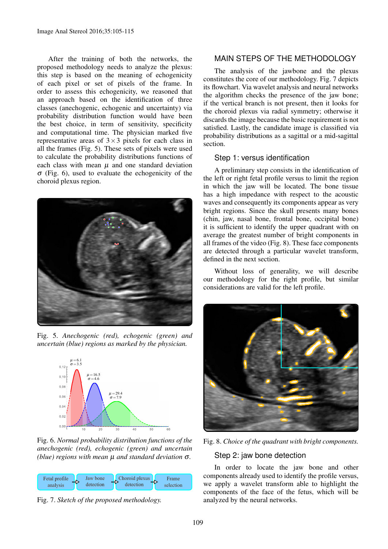After the training of both the networks, the proposed methodology needs to analyze the plexus: this step is based on the meaning of echogenicity of each pixel or set of pixels of the frame. In order to assess this echogenicity, we reasoned that an approach based on the identification of three classes (anechogenic, echogenic and uncertainty) via probability distribution function would have been the best choice, in term of sensitivity, specificity and computational time. The physician marked five representative areas of  $3\times3$  pixels for each class in all the frames (Fig. [5\)](#page-4-0). These sets of pixels were used to calculate the probability distributions functions of each class with mean  $\mu$  and one standard deviation  $\sigma$  (Fig. [6\)](#page-4-1), used to evaluate the echogenicity of the choroid plexus region.



Fig. 5. *Anechogenic (red), echogenic (green) and uncertain (blue) regions as marked by the physician.*

<span id="page-4-0"></span>

<span id="page-4-1"></span>Fig. 6. *Normal probability distribution functions of the anechogenic (red), echogenic (green) and uncertain (blue) regions with mean* µ *and standard deviation* σ*.*



<span id="page-4-2"></span>Fig. 7. *Sketch of the proposed methodology.*

### MAIN STEPS OF THE METHODOLOGY

The analysis of the jawbone and the plexus constitutes the core of our methodology. Fig. [7](#page-4-2) depicts its flowchart. Via wavelet analysis and neural networks the algorithm checks the presence of the jaw bone; if the vertical branch is not present, then it looks for the choroid plexus via radial symmetry; otherwise it discards the image because the basic requirement is not satisfied. Lastly, the candidate image is classified via probability distributions as a sagittal or a mid-sagittal section.

#### Step 1: versus identification

A preliminary step consists in the identification of the left or right fetal profile versus to limit the region in which the jaw will be located. The bone tissue has a high impedance with respect to the acoustic waves and consequently its components appear as very bright regions. Since the skull presents many bones (chin, jaw, nasal bone, frontal bone, occipital bone) it is sufficient to identify the upper quadrant with on average the greatest number of bright components in all frames of the video (Fig. [8\)](#page-4-3). These face components are detected through a particular wavelet transform, defined in the next section.

Without loss of generality, we will describe our methodology for the right profile, but similar considerations are valid for the left profile.



Fig. 8. *Choice of the quadrant with bright components.*

### <span id="page-4-3"></span>Step 2: jaw bone detection

In order to locate the jaw bone and other components already used to identify the profile versus, we apply a wavelet transform able to highlight the components of the face of the fetus, which will be analyzed by the neural networks.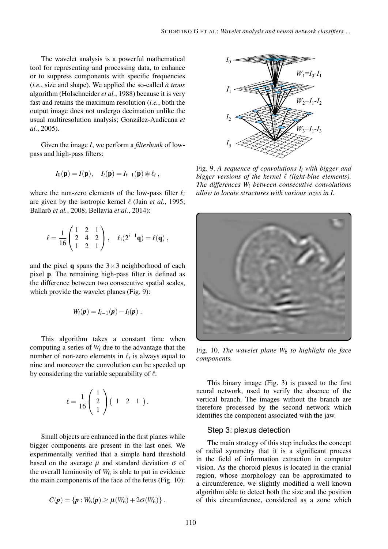The wavelet analysis is a powerful mathematical tool for representing and processing data, to enhance or to suppress components with specific frequencies (*i.e.*, size and shape). We applied the so-called *a trous `* algorithm [\(Holschneider](#page-9-7) *et al.*, [1988\)](#page-9-7) because it is very fast and retains the maximum resolution (*i.e.*, both the output image does not undergo decimation unlike the usual multiresolution analysis; González-Audícana et *[al.](#page-9-8)*, [2005\)](#page-9-8).

Given the image *I*, we perform a *filterbank* of lowpass and high-pass filters:

$$
I_0(\mathbf{p})=I(\mathbf{p}), \quad I_i(\mathbf{p})=I_{i-1}(\mathbf{p})\otimes \ell_i,
$$

where the non-zero elements of the low-pass filter  $\ell_i$ are given by the isotropic kernel  $\ell$  (Jain *[et al.](#page-10-9)*, [1995;](#page-10-9) Ballarò *et al.*, [2008;](#page-9-9) [Bellavia](#page-9-10) *et al.*, [2014\)](#page-9-10):

$$
\ell = \frac{1}{16} \begin{pmatrix} 1 & 2 & 1 \\ 2 & 4 & 2 \\ 1 & 2 & 1 \end{pmatrix}, \quad \ell_i(2^{i-1}\mathbf{q}) = \ell(\mathbf{q}),
$$

and the pixel **q** spans the  $3 \times 3$  neighborhood of each pixel p. The remaining high-pass filter is defined as the difference between two consecutive spatial scales, which provide the wavelet planes (Fig. [9\)](#page-5-0):

$$
W_i(\boldsymbol{p})=I_{i-1}(\boldsymbol{p})-I_i(\boldsymbol{p})\ .
$$

This algorithm takes a constant time when computing a series of *W<sup>i</sup>* due to the advantage that the number of non-zero elements in  $\ell_i$  is always equal to nine and moreover the convolution can be speeded up by considering the variable separability of  $\ell$ :

$$
\ell = \frac{1}{16} \left( \begin{array}{c} 1 \\ 2 \\ 1 \end{array} \right) \left( \begin{array}{ccc} 1 & 2 & 1 \end{array} \right).
$$

Small objects are enhanced in the first planes while bigger components are present in the last ones. We experimentally verified that a simple hard threshold based on the average  $\mu$  and standard deviation  $\sigma$  of the overall luminosity of  $W_6$  is able to put in evidence the main components of the face of the fetus (Fig. [10\)](#page-5-1):

$$
C(\pmb{p}) = \{ \pmb{p} : W_6(\pmb{p}) \ge \mu(W_6) + 2\sigma(W_6) \} .
$$



<span id="page-5-0"></span>Fig. 9. *A sequence of convolutions I<sup>i</sup> with bigger and bigger versions of the kernel*  $\ell$  *(light-blue elements). The differences W<sup>i</sup> between consecutive convolutions allow to locate structures with various sizes in I.*



Fig. 10. *The wavelet plane W*<sup>6</sup> *to highlight the face components.*

<span id="page-5-1"></span>This binary image (Fig. [3\)](#page-3-0) is passed to the first neural network, used to verify the absence of the vertical branch. The images without the branch are therefore processed by the second network which identifies the component associated with the jaw.

#### Step 3: plexus detection

The main strategy of this step includes the concept of radial symmetry that it is a significant process in the field of information extraction in computer vision. As the choroid plexus is located in the cranial region, whose morphology can be approximated to a circumference, we slightly modified a well known algorithm able to detect both the size and the position of this circumference, considered as a zone which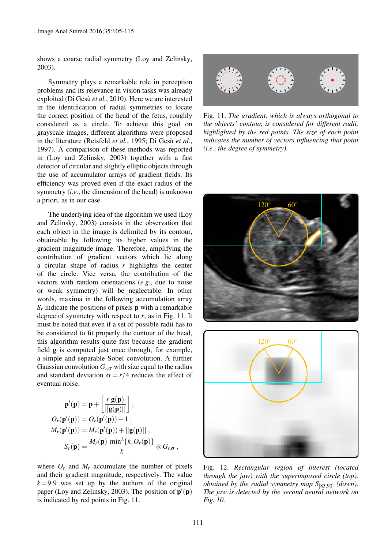shows a coarse radial symmetry [\(Loy and Zelinsky,](#page-10-10) [2003\)](#page-10-10).

Symmetry plays a remarkable role in perception problems and its relevance in vision tasks was already exploited (Di Gesù *et al.*, [2010\)](#page-9-11). Here we are interested in the identification of radial symmetries to locate the correct position of the head of the fetus, roughly considered as a circle. To achieve this goal on grayscale images, different algorithms were proposed in the literature [\(Reisfeld](#page-10-11) *et al.*, [1995;](#page-10-11) Di Gesù *et al.*, [1997\)](#page-9-12). A comparison of these methods was reported in [\(Loy and Zelinsky,](#page-10-10) [2003\)](#page-10-10) together with a fast detector of circular and slightly elliptic objects through the use of accumulator arrays of gradient fields. Its efficiency was proved even if the exact radius of the symmetry (*i.e.*, the dimension of the head) is unknown a priori, as in our case.

The underlying idea of the algorithm we used [\(Loy](#page-10-10) [and Zelinsky,](#page-10-10) [2003\)](#page-10-10) consists in the observation that each object in the image is delimited by its contour, obtainable by following its higher values in the gradient magnitude image. Therefore, amplifying the contribution of gradient vectors which lie along a circular shape of radius *r* highlights the center of the circle. Vice versa, the contribution of the vectors with random orientations (*e.g.*, due to noise or weak symmetry) will be neglectable. In other words, maxima in the following accumulation array *Sr* indicate the positions of pixels p with a remarkable degree of symmetry with respect to *r*, as in Fig. [11.](#page-6-0) It must be noted that even if a set of possible radii has to be considered to fit properly the contour of the head, this algorithm results quite fast because the gradient field g is computed just once through, for example, a simple and separable Sobel convolution. A further Gaussian convolution  $G_{r,\sigma}$  with size equal to the radius and standard deviation  $\sigma = r/4$  reduces the effect of eventual noise.

$$
\mathbf{p}'(\mathbf{p}) = \mathbf{p} + \left[\frac{r \mathbf{g}(\mathbf{p})}{||\mathbf{g}(\mathbf{p})||}\right],
$$
  
\n
$$
O_r(\mathbf{p}'(\mathbf{p})) = O_r(\mathbf{p}'(\mathbf{p})) + 1,
$$
  
\n
$$
M_r(\mathbf{p}'(\mathbf{p})) = M_r(\mathbf{p}'(\mathbf{p})) + ||\mathbf{g}(\mathbf{p})||,
$$
  
\n
$$
S_r(\mathbf{p}) = \frac{M_r(\mathbf{p}) \min^2\{k, O_r(\mathbf{p})\}}{k} \circledast G_{r,\sigma},
$$

where  $O_r$  and  $M_r$  accumulate the number of pixels and their gradient magnitude, respectively. The value  $k=9.9$  was set up by the authors of the original paper [\(Loy and Zelinsky,](#page-10-10) [2003\)](#page-10-10). The position of  $\mathbf{p}'(\mathbf{p})$ is indicated by red points in Fig. [11.](#page-6-0)



<span id="page-6-0"></span>Fig. 11. *The gradient, which is always orthogonal to the objects' contour, is considered for different radii, highlighted by the red points. The size of each point indicates the number of vectors influencing that point (i.e., the degree of symmetry).*



<span id="page-6-1"></span>

Fig. 12. *Rectangular region of interest (located through the jaw) with the superimposed circle (top), obtained by the radial symmetry map S*[85,90] *(down). The jaw is detected by the second neural network on Fig. [10.](#page-5-1)*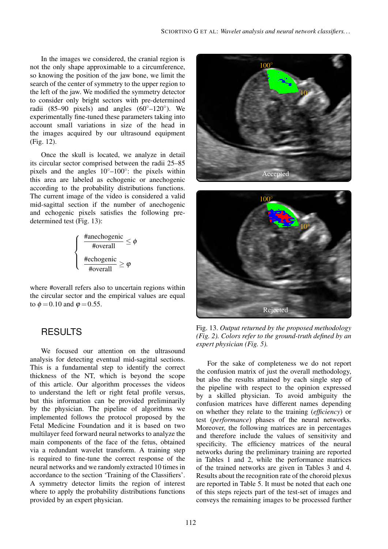In the images we considered, the cranial region is not the only shape approximable to a circumference, so knowing the position of the jaw bone, we limit the search of the center of symmetry to the upper region to the left of the jaw. We modified the symmetry detector to consider only bright sectors with pre-determined radii  $(85-90 \text{ pixels})$  and angles  $(60^{\circ}-120^{\circ})$ . We experimentally fine-tuned these parameters taking into account small variations in size of the head in the images acquired by our ultrasound equipment (Fig. [12\)](#page-6-1).

Once the skull is located, we analyze in detail its circular sector comprised between the radii 25–85 pixels and the angles  $10^{\circ}$ – $100^{\circ}$ : the pixels within this area are labeled as echogenic or anechogenic according to the probability distributions functions. The current image of the video is considered a valid mid-sagittal section if the number of anechogenic and echogenic pixels satisfies the following predetermined test (Fig. [13\)](#page-7-0):

$$
\begin{cases}\n\frac{\text{Hanechogenic}}{\text{Hovernal}} \leq \phi \\
\frac{\text{Hechogenic}}{\text{Hovernal}} \geq \phi\n\end{cases}
$$

where #overall refers also to uncertain regions within the circular sector and the empirical values are equal to  $\phi = 0.10$  and  $\varphi = 0.55$ .

## RESULTS

We focused our attention on the ultrasound analysis for detecting eventual mid-sagittal sections. This is a fundamental step to identify the correct thickness of the NT, which is beyond the scope of this article. Our algorithm processes the videos to understand the left or right fetal profile versus, but this information can be provided preliminarily by the physician. The pipeline of algorithms we implemented follows the protocol proposed by the Fetal Medicine Foundation and it is based on two multilayer feed forward neural networks to analyze the main components of the face of the fetus, obtained via a redundant wavelet transform. A training step is required to fine-tune the correct response of the neural networks and we randomly extracted 10 times in accordance to the section 'Training of the Classifiers'. A symmetry detector limits the region of interest where to apply the probability distributions functions provided by an expert physician.





Fig. 13. *Output returned by the proposed methodology (Fig. [2\)](#page-2-0). Colors refer to the ground-truth defined by an expert physician (Fig. [5\)](#page-4-0).*

<span id="page-7-0"></span>For the sake of completeness we do not report the confusion matrix of just the overall methodology, but also the results attained by each single step of the pipeline with respect to the opinion expressed by a skilled physician. To avoid ambiguity the confusion matrices have different names depending on whether they relate to the training (*efficiency*) or test (*performance*) phases of the neural networks. Moreover, the following matrices are in percentages and therefore include the values of sensitivity and specificity. The efficiency matrices of the neural networks during the preliminary training are reported in Tables [1](#page-8-0) and [2,](#page-8-1) while the performance matrices of the trained networks are given in Tables [3](#page-8-2) and [4.](#page-8-3) Results about the recognition rate of the choroid plexus are reported in Table [5.](#page-8-4) It must be noted that each one of this steps rejects part of the test-set of images and conveys the remaining images to be processed further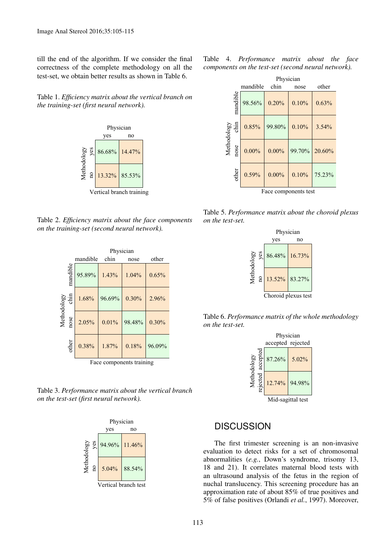till the end of the algorithm. If we consider the final correctness of the complete methodology on all the test-set, we obtain better results as shown in Table [6.](#page-8-5)

<span id="page-8-0"></span>Table 1. *Efficiency matrix about the vertical branch on the training-set (first neural network).*



<span id="page-8-1"></span>Table 2. *Efficiency matrix about the face components on the training-set (second neural network).*

|                          |                          | Physician |        |        |        |  |  |  |  |
|--------------------------|--------------------------|-----------|--------|--------|--------|--|--|--|--|
|                          |                          | mandible  | chin   | nose   | other  |  |  |  |  |
| Methodology<br>nose chin | mandible                 | 95.89%    | 1.43%  | 1.04%  | 0.65%  |  |  |  |  |
|                          |                          | 1.68%     | 96.69% | 0.30%  | 2.96%  |  |  |  |  |
|                          |                          | 2.05%     | 0.01%  | 98.48% | 0.30%  |  |  |  |  |
|                          | other                    | 0.38%     | 1.87%  | 0.18%  | 96.09% |  |  |  |  |
|                          | Face components training |           |        |        |        |  |  |  |  |

<span id="page-8-2"></span>Table 3. *Performance matrix about the vertical branch on the test-set (first neural network).*



Table 4. *Performance matrix about the face components on the test-set (second neural network).*

<span id="page-8-3"></span>

|                          | Physician |          |        |        |  |  |  |
|--------------------------|-----------|----------|--------|--------|--|--|--|
|                          | mandible  | chin     | nose   | other  |  |  |  |
| mandible                 | 98.56%    | 0.20%    | 0.10%  | 0.63%  |  |  |  |
|                          | 0.85%     | 99.80%   | 0.10%  | 3.54%  |  |  |  |
| Methodology<br>nose chin | $0.00\%$  | $0.00\%$ | 99.70% | 20.60% |  |  |  |
| other                    | 0.59%     | $0.00\%$ | 0.10%  | 75.23% |  |  |  |
| Face components test     |           |          |        |        |  |  |  |

Table 5. *Performance matrix about the choroid plexus on the test-set.*

<span id="page-8-4"></span>



<span id="page-8-5"></span>

# **DISCUSSION**

The first trimester screening is an non-invasive evaluation to detect risks for a set of chromosomal abnormalities (*e.g.*, Down's syndrome, trisomy 13, 18 and 21). It correlates maternal blood tests with an ultrasound analysis of the fetus in the region of nuchal translucency. This screening procedure has an approximation rate of about 85% of true positives and 5% of false positives [\(Orlandi](#page-10-12) *et al.*, [1997\)](#page-10-12). Moreover,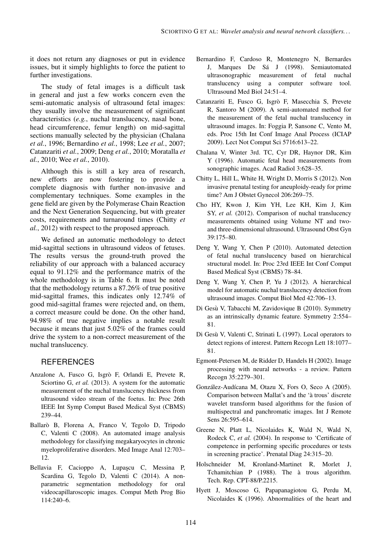it does not return any diagnoses or put in evidence issues, but it simply highlights to force the patient to further investigations.

The study of fetal images is a difficult task in general and just a few works concern even the semi-automatic analysis of ultrasound fetal images: they usually involve the measurement of significant characteristics (*e.g.*, nuchal translucency, nasal bone, head circumference, femur length) on mid-sagittal sections manually selected by the physician [\(Chalana](#page-9-13) *[et al.](#page-9-13)*, [1996;](#page-9-13) [Bernardino](#page-9-2) *et al.*, [1998;](#page-9-2) Lee *[et al.](#page-10-3)*, [2007;](#page-10-3) [Catanzariti](#page-9-14) *et al.*, [2009;](#page-9-14) [Deng](#page-9-15) *et al.*, [2010;](#page-9-15) [Moratalla](#page-10-6) *et [al.](#page-10-6)*, [2010;](#page-10-6) Wee *[et al.](#page-10-13)*, [2010\)](#page-10-13).

Although this is still a key area of research, new efforts are now fostering to provide a complete diagnosis with further non-invasive and complementary techniques. Some examples in the gene field are given by the Polymerase Chain Reaction and the Next Generation Sequencing, but with greater costs, requirements and turnaround times [\(Chitty](#page-9-16) *et [al.](#page-9-16)*, [2012\)](#page-9-16) with respect to the proposed approach.

We defined an automatic methodology to detect mid-sagittal sections in ultrasound videos of fetuses. The results versus the ground-truth proved the reliability of our approach with a balanced accuracy equal to 91.12% and the performance matrix of the whole methodology is in Table [6.](#page-8-5) It must be noted that the methodology returns a 87.26% of true positive mid-sagittal frames, this indicates only 12.74% of good mid-sagittal frames were rejected and, on them, a correct measure could be done. On the other hand, 94.98% of true negative implies a notable result because it means that just 5.02% of the frames could drive the system to a non-correct measurement of the nuchal translucency.

#### **REFERENCES**

- <span id="page-9-4"></span>Anzalone A, Fusco G, Isgrò F, Orlandi E, Prevete R, Sciortino G, *et al.* (2013). A system for the automatic measurement of the nuchal translucency thickness from ultrasound video stream of the foetus. In: Proc 26th IEEE Int Symp Comput Based Medical Syst (CBMS) [239–44.](http://dx.doi.org/10.1109/CBMS.2013.6627795)
- <span id="page-9-9"></span>Ballarò B, Florena A, Franco V, Tegolo D, Tripodo C, Valenti C (2008). An automated image analysis methodology for classifying megakaryocytes in chronic myeloproliferative disorders. Med Image Anal [12:703–](http://dx.doi.org/10.1016/j.media.2008.04.001) [12.](http://dx.doi.org/10.1016/j.media.2008.04.001)
- <span id="page-9-10"></span>Bellavia F, Cacioppo A, Lupascu C, Messina P, Scardina G, Tegolo D, Valenti C (2014). A nonparametric segmentation methodology for oral videocapillaroscopic images. Comput Meth Prog Bio [114:240–6.](http://dx.doi.org/10.1016/j.cmpb.2014.02.009)
- <span id="page-9-2"></span>Bernardino F, Cardoso R, Montenegro N, Bernardes J, Marques De Sá J (1998). Semiautomated ultrasonographic measurement of fetal nuchal translucency using a computer software tool. Ultrasound Med Biol [24:51–4.](http://dx.doi.org/10.1016/S0301-5629(97)00235-4)
- <span id="page-9-14"></span>Catanzariti E, Fusco G, Isgro F, Masecchia S, Prevete ` R, Santoro M (2009). A semi-automated method for the measurement of the fetal nuchal translucency in ultrasound images. In: Foggia P, Sansone C, Vento M, eds. Proc 15th Int Conf Image Anal Process (ICIAP 2009). Lect Not Comput Sci [5716:613–22.](http://dx.doi.org/10.1007/978-3-642-04146-4_66)
- <span id="page-9-13"></span>Chalana V, Winter 3rd. TC, Cyr DR, Haynor DR, Kim Y (1996). Automatic fetal head measurements from sonographic images. Acad Radiol [3:628–35.](http://dx.doi.org/10.1016/S1076-6332(96)80187-5)
- <span id="page-9-16"></span>Chitty L, Hill L, White H, Wright D, Morris S (2012). Non invasive prenatal testing for aneuploidy-ready for prime time? Am J Obstet Gynecol [206:269–75.](http://dx.doi.org/10.1016/j.ajog.2012.02.021)
- <span id="page-9-3"></span>Cho HY, Kwon J, Kim YH, Lee KH, Kim J, Kim SY, *et al.* (2012). Comparison of nuchal translucency measurements obtained using Volume NT and twoand three-dimensional ultrasound. Ultrasound Obst Gyn [39:175–80.](http://dx.doi.org/10.1002/uog.8996)
- <span id="page-9-15"></span>Deng Y, Wang Y, Chen P (2010). Automated detection of fetal nuchal translucency based on hierarchical structural model. In: Proc 23rd IEEE Int Conf Comput Based Medical Syst (CBMS) [78–84.](http://dx.doi.org/10.1109/cbms.2010.6042618)
- <span id="page-9-1"></span>Deng Y, Wang Y, Chen P, Yu J (2012). A hierarchical model for automatic nuchal translucency detection from ultrasound images. Comput Biol Med [42:706–13.](http://dx.doi.org/10.1016/j.compbiomed.2012.04.002)
- <span id="page-9-11"></span>Di Gesù V, Tabacchi M, Zavidovique B (2010). Symmetry as an intrinsically dynamic feature. Symmetry [2:554–](http://dx.doi.org/10.3390/sym2020554) [81.](http://dx.doi.org/10.3390/sym2020554)
- <span id="page-9-12"></span>Di Gesù V, Valenti C, Strinati L (1997). Local operators to detect regions of interest. Pattern Recogn Lett [18:1077–](http://dx.doi.org/10.1016/S0167-8655(97)00084-6) [81.](http://dx.doi.org/10.1016/S0167-8655(97)00084-6)
- <span id="page-9-6"></span>Egmont-Petersen M, de Ridder D, Handels H (2002). Image processing with neural networks - a review. Pattern Recogn [35:2279–301.](http://dx.doi.org/10.1016/S0031-3203(01)00178-9)
- <span id="page-9-8"></span>González-Audícana M, Otazu X, Fors O, Seco A (2005). Comparison between Mallat's and the 'à trous' discrete wavelet transform based algorithms for the fusion of multispectral and panchromatic images. Int J Remote Sens [26:595–614.](http://dx.doi.org/10.1080/01431160512331314056)
- <span id="page-9-5"></span>Greene N, Platt L, Nicolaides K, Wald N, Wald N, Rodeck C, *et al.* (2004). In response to 'Certificate of competence in performing specific procedures or tests in screening practice'. Prenatal Diag [24:315–20.](http://dx.doi.org/10.1002/pd.812)
- <span id="page-9-7"></span>Holschneider M, Kronland-Martinet R, Morlet J, Tchamitchian P (1988). The à trous algorithm. Tech. Rep. CPT-88/P.2215.
- <span id="page-9-0"></span>Hyett J, Moscoso G, Papapanagiotou G, Perdu M, Nicolaides K (1996). Abnormalities of the heart and